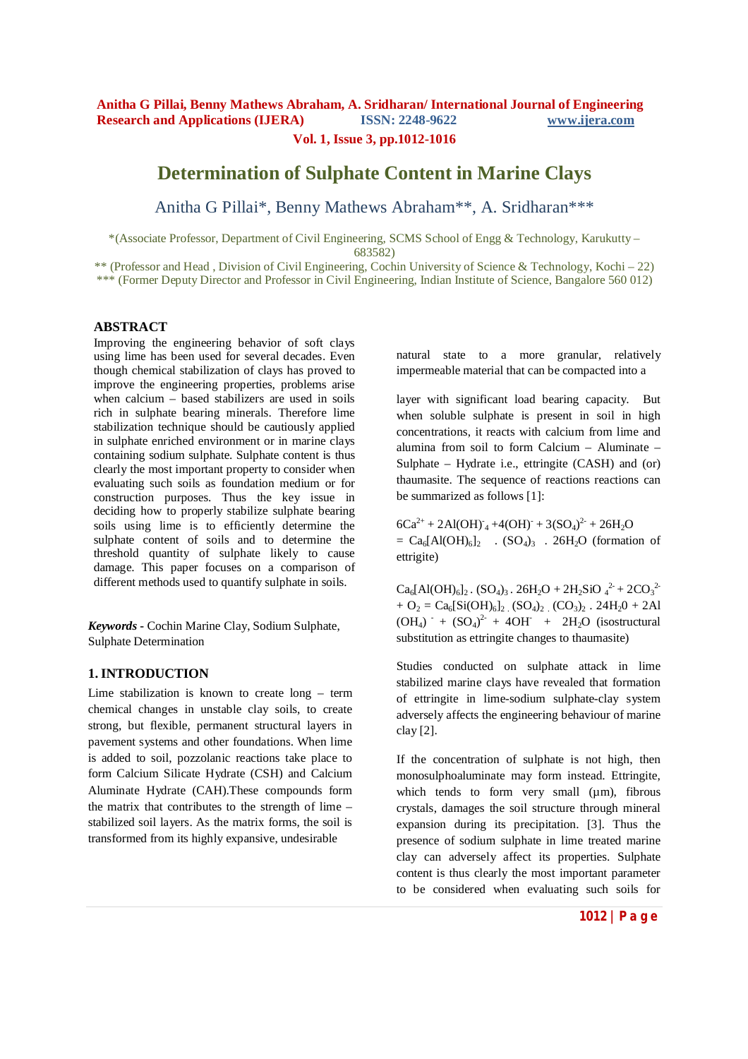# **Determination of Sulphate Content in Marine Clays**

Anitha G Pillai\*, Benny Mathews Abraham\*\*, A. Sridharan\*\*\*

\*(Associate Professor, Department of Civil Engineering, SCMS School of Engg & Technology, Karukutty – 683582)

\*\* (Professor and Head , Division of Civil Engineering, Cochin University of Science & Technology, Kochi – 22) \*\*\* (Former Deputy Director and Professor in Civil Engineering, Indian Institute of Science, Bangalore 560 012)

### **ABSTRACT**

Improving the engineering behavior of soft clays using lime has been used for several decades. Even though chemical stabilization of clays has proved to improve the engineering properties, problems arise when calcium – based stabilizers are used in soils rich in sulphate bearing minerals. Therefore lime stabilization technique should be cautiously applied in sulphate enriched environment or in marine clays containing sodium sulphate. Sulphate content is thus clearly the most important property to consider when evaluating such soils as foundation medium or for construction purposes. Thus the key issue in deciding how to properly stabilize sulphate bearing soils using lime is to efficiently determine the sulphate content of soils and to determine the threshold quantity of sulphate likely to cause damage. This paper focuses on a comparison of different methods used to quantify sulphate in soils.

*Keywords* **-** Cochin Marine Clay, Sodium Sulphate, Sulphate Determination

### **1. INTRODUCTION**

Lime stabilization is known to create long – term chemical changes in unstable clay soils, to create strong, but flexible, permanent structural layers in pavement systems and other foundations. When lime is added to soil, pozzolanic reactions take place to form Calcium Silicate Hydrate (CSH) and Calcium Aluminate Hydrate (CAH).These compounds form the matrix that contributes to the strength of lime – stabilized soil layers. As the matrix forms, the soil is transformed from its highly expansive, undesirable

natural state to a more granular, relatively impermeable material that can be compacted into a

layer with significant load bearing capacity. But when soluble sulphate is present in soil in high concentrations, it reacts with calcium from lime and alumina from soil to form Calcium – Aluminate – Sulphate – Hydrate i.e., ettringite (CASH) and (or) thaumasite. The sequence of reactions reactions can be summarized as follows [1]:

 $6Ca^{2+} + 2Al(OH)^{-} + 4(OH)^{-} + 3(SO_4)^{2-} + 26H_2O$  $= Ca_6[AI(OH)_6]_2$  .  $(SO_4)_3$  . 26H<sub>2</sub>O (formation of ettrigite)

 $Ca_6[AI(OH)_{6}]_2$ .  $(SO_4)_3$ .  $26H_2O + 2H_2SiO_4^2 + 2CO_3^2$  $+ O_2 = Ca_6[Si(OH)_6]_2$   $(SO_4)_2$   $(CO_3)_2$   $. 24H_2O + 2Al$  $(OH<sub>4</sub>)$  +  $(SO<sub>4</sub>)<sup>2-</sup> + 4OH<sup>-</sup> + 2H<sub>2</sub>O$  (isostructural substitution as ettringite changes to thaumasite)

Studies conducted on sulphate attack in lime stabilized marine clays have revealed that formation of ettringite in lime-sodium sulphate-clay system adversely affects the engineering behaviour of marine clay [2].

If the concentration of sulphate is not high, then monosulphoaluminate may form instead. Ettringite, which tends to form very small  $(\mu m)$ , fibrous crystals, damages the soil structure through mineral expansion during its precipitation. [3]. Thus the presence of sodium sulphate in lime treated marine clay can adversely affect its properties. Sulphate content is thus clearly the most important parameter to be considered when evaluating such soils for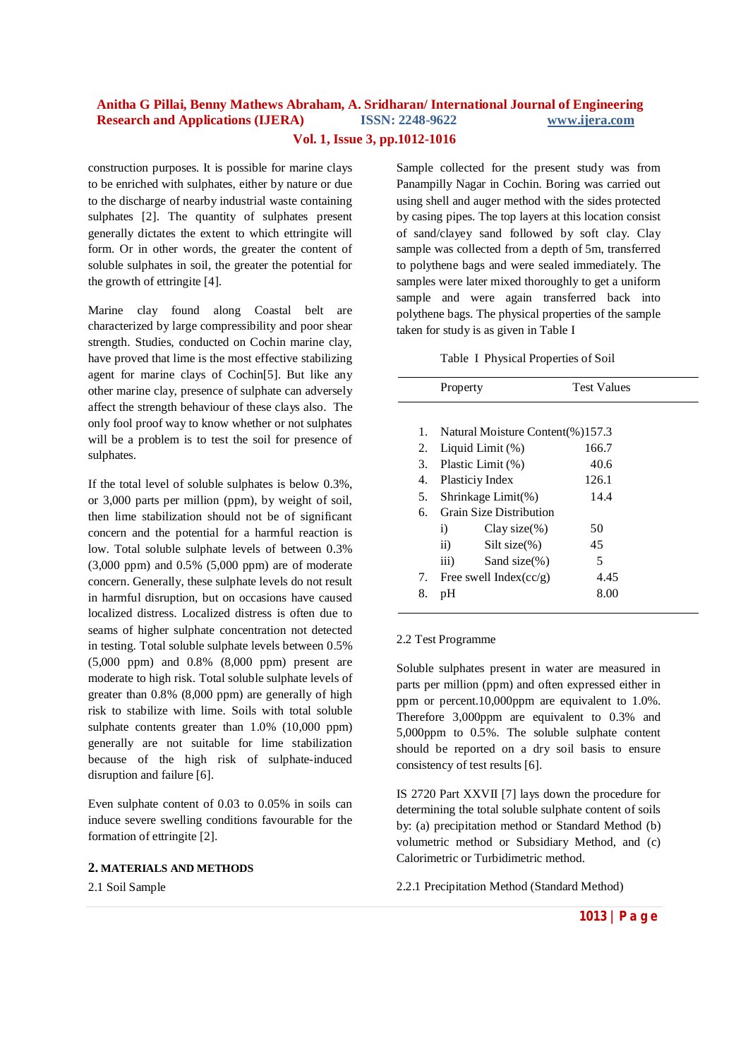construction purposes. It is possible for marine clays to be enriched with sulphates, either by nature or due to the discharge of nearby industrial waste containing sulphates [2]. The quantity of sulphates present generally dictates the extent to which ettringite will form. Or in other words, the greater the content of soluble sulphates in soil, the greater the potential for the growth of ettringite [4].

Marine clay found along Coastal belt are characterized by large compressibility and poor shear strength. Studies, conducted on Cochin marine clay, have proved that lime is the most effective stabilizing agent for marine clays of Cochin[5]. But like any other marine clay, presence of sulphate can adversely affect the strength behaviour of these clays also. The only fool proof way to know whether or not sulphates will be a problem is to test the soil for presence of sulphates.

If the total level of soluble sulphates is below 0.3%, or 3,000 parts per million (ppm), by weight of soil, then lime stabilization should not be of significant concern and the potential for a harmful reaction is low. Total soluble sulphate levels of between 0.3% (3,000 ppm) and 0.5% (5,000 ppm) are of moderate concern. Generally, these sulphate levels do not result in harmful disruption, but on occasions have caused localized distress. Localized distress is often due to seams of higher sulphate concentration not detected in testing. Total soluble sulphate levels between 0.5% (5,000 ppm) and 0.8% (8,000 ppm) present are moderate to high risk. Total soluble sulphate levels of greater than 0.8% (8,000 ppm) are generally of high risk to stabilize with lime. Soils with total soluble sulphate contents greater than 1.0% (10,000 ppm) generally are not suitable for lime stabilization because of the high risk of sulphate-induced disruption and failure [6].

Even sulphate content of 0.03 to 0.05% in soils can induce severe swelling conditions favourable for the formation of ettringite [2].

#### **2. MATERIALS AND METHODS**

2.1 Soil Sample

Sample collected for the present study was from Panampilly Nagar in Cochin. Boring was carried out using shell and auger method with the sides protected by casing pipes. The top layers at this location consist of sand/clayey sand followed by soft clay. Clay sample was collected from a depth of 5m, transferred to polythene bags and were sealed immediately. The samples were later mixed thoroughly to get a uniform sample and were again transferred back into polythene bags. The physical properties of the sample taken for study is as given in Table I

Table I Physical Properties of Soil

|    | Property                                | <b>Test Values</b> |  |
|----|-----------------------------------------|--------------------|--|
|    |                                         |                    |  |
| 1. | Natural Moisture Content(%)157.3        |                    |  |
| 2. | Liquid Limit (%)                        | 166.7              |  |
| 3. | Plastic Limit (%)                       | 40.6               |  |
| 4. | Plasticiy Index                         | 126.1              |  |
| 5. | Shrinkage Limit(%)                      | 14.4               |  |
| б. | <b>Grain Size Distribution</b>          |                    |  |
|    | Clay size $(\%)$<br>i)                  | 50                 |  |
|    | $\ddot{\text{ii}})$<br>Silt size $(\%)$ | 45                 |  |
|    | $\overline{iii}$ )<br>Sand size $(\%)$  | 5                  |  |
| 7. | Free swell Index( $cc/g$ )              | 4.45               |  |
| 8. | pH                                      | 8.00               |  |

#### 2.2 Test Programme

Soluble sulphates present in water are measured in parts per million (ppm) and often expressed either in ppm or percent.10,000ppm are equivalent to 1.0%. Therefore 3,000ppm are equivalent to 0.3% and 5,000ppm to 0.5%. The soluble sulphate content should be reported on a dry soil basis to ensure consistency of test results [6].

IS 2720 Part XXVII [7] lays down the procedure for determining the total soluble sulphate content of soils by: (a) precipitation method or Standard Method (b) volumetric method or Subsidiary Method, and (c) Calorimetric or Turbidimetric method.

2.2.1 Precipitation Method (Standard Method)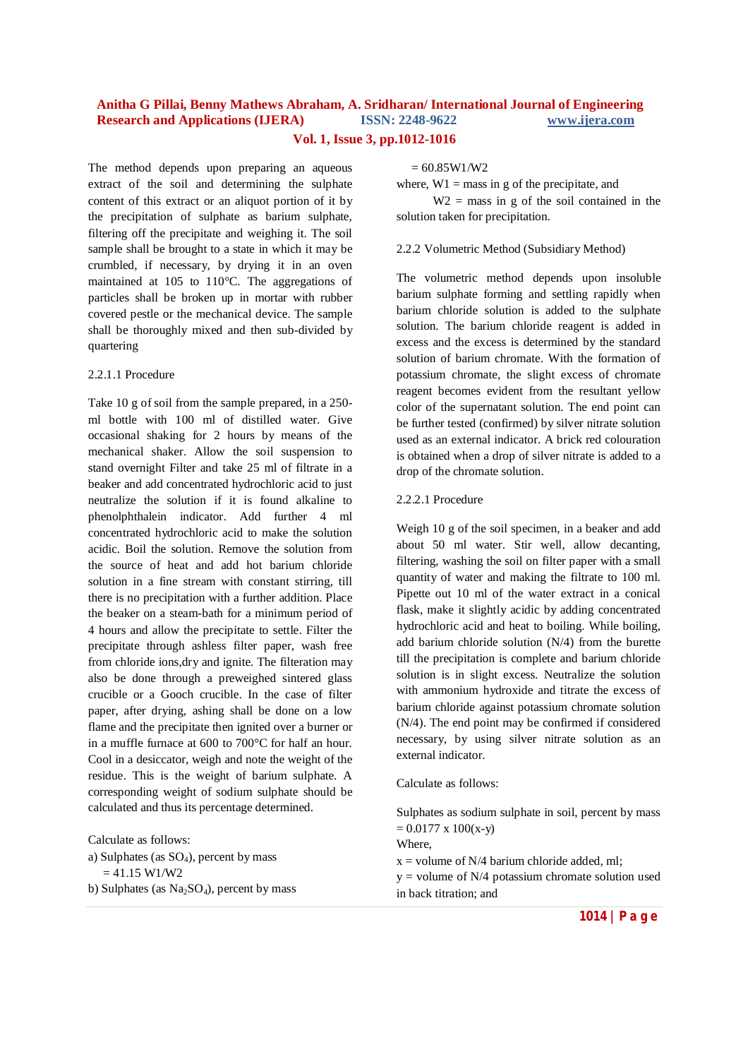The method depends upon preparing an aqueous extract of the soil and determining the sulphate content of this extract or an aliquot portion of it by the precipitation of sulphate as barium sulphate, filtering off the precipitate and weighing it. The soil sample shall be brought to a state in which it may be crumbled, if necessary, by drying it in an oven maintained at 105 to 110°C. The aggregations of particles shall be broken up in mortar with rubber covered pestle or the mechanical device. The sample shall be thoroughly mixed and then sub-divided by quartering

#### 2.2.1.1 Procedure

Take 10 g of soil from the sample prepared, in a 250 ml bottle with 100 ml of distilled water. Give occasional shaking for 2 hours by means of the mechanical shaker. Allow the soil suspension to stand overnight Filter and take 25 ml of filtrate in a beaker and add concentrated hydrochloric acid to just neutralize the solution if it is found alkaline to phenolphthalein indicator. Add further 4 ml concentrated hydrochloric acid to make the solution acidic. Boil the solution. Remove the solution from the source of heat and add hot barium chloride solution in a fine stream with constant stirring, till there is no precipitation with a further addition. Place the beaker on a steam-bath for a minimum period of 4 hours and allow the precipitate to settle. Filter the precipitate through ashless filter paper, wash free from chloride ions,dry and ignite. The filteration may also be done through a preweighed sintered glass crucible or a Gooch crucible. In the case of filter paper, after drying, ashing shall be done on a low flame and the precipitate then ignited over a burner or in a muffle furnace at 600 to 700°C for half an hour. Cool in a desiccator, weigh and note the weight of the residue. This is the weight of barium sulphate. A corresponding weight of sodium sulphate should be calculated and thus its percentage determined.

Calculate as follows:

a) Sulphates (as  $SO_4$ ), percent by mass  $= 41.15 W1/W2$ b) Sulphates (as  $Na<sub>2</sub>SO<sub>4</sub>$ ), percent by mass  $= 60.85W1/W2$ 

where,  $W1 =$  mass in g of the precipitate, and  $W2$  = mass in g of the soil contained in the solution taken for precipitation.

#### 2.2.2 Volumetric Method (Subsidiary Method)

The volumetric method depends upon insoluble barium sulphate forming and settling rapidly when barium chloride solution is added to the sulphate solution. The barium chloride reagent is added in excess and the excess is determined by the standard solution of barium chromate. With the formation of potassium chromate, the slight excess of chromate reagent becomes evident from the resultant yellow color of the supernatant solution. The end point can be further tested (confirmed) by silver nitrate solution used as an external indicator. A brick red colouration is obtained when a drop of silver nitrate is added to a drop of the chromate solution.

#### 2.2.2.1 Procedure

Weigh 10 g of the soil specimen, in a beaker and add about 50 ml water. Stir well, allow decanting, filtering, washing the soil on filter paper with a small quantity of water and making the filtrate to 100 ml. Pipette out 10 ml of the water extract in a conical flask, make it slightly acidic by adding concentrated hydrochloric acid and heat to boiling. While boiling, add barium chloride solution (N/4) from the burette till the precipitation is complete and barium chloride solution is in slight excess. Neutralize the solution with ammonium hydroxide and titrate the excess of barium chloride against potassium chromate solution (N/4). The end point may be confirmed if considered necessary, by using silver nitrate solution as an external indicator.

#### Calculate as follows:

Sulphates as sodium sulphate in soil, percent by mass  $= 0.0177 \times 100(x-y)$ Where

 $x =$  volume of N/4 barium chloride added, ml;

 $y =$  volume of N/4 potassium chromate solution used in back titration; and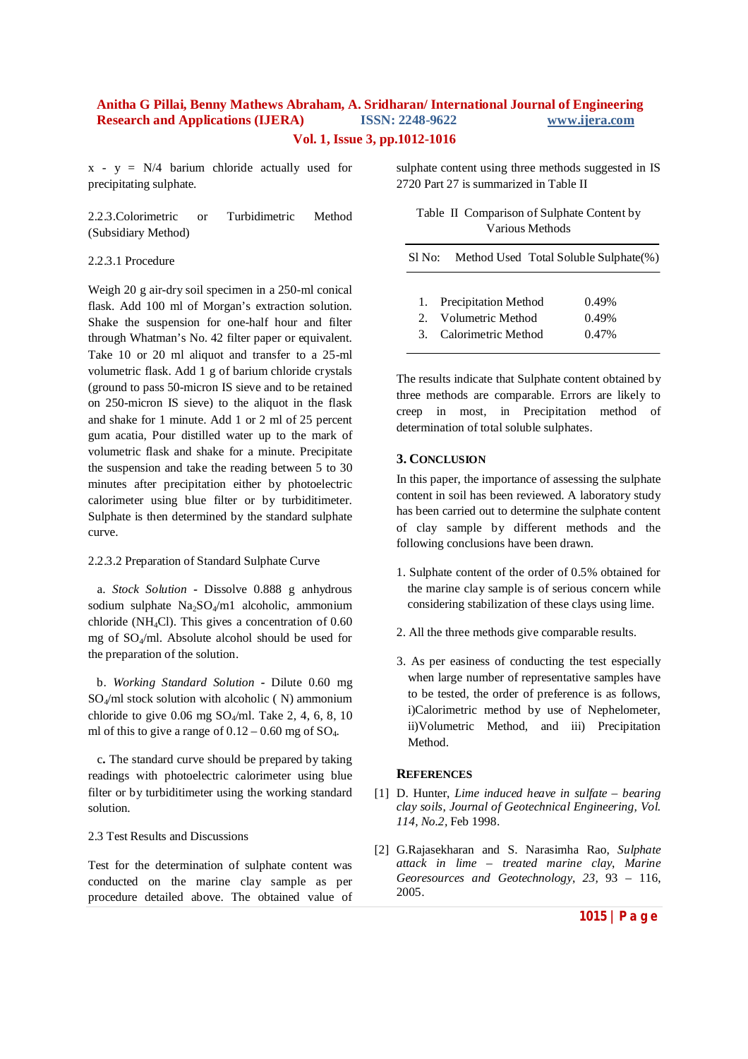$x - y = N/4$  barium chloride actually used for precipitating sulphate.

2.2.3.Colorimetric or Turbidimetric Method (Subsidiary Method)

#### 2.2.3.1 Procedure

Weigh 20 g air-dry soil specimen in a 250-ml conical flask. Add 100 ml of Morgan's extraction solution. Shake the suspension for one-half hour and filter through Whatman's No. 42 filter paper or equivalent. Take 10 or 20 ml aliquot and transfer to a 25-ml volumetric flask. Add 1 g of barium chloride crystals (ground to pass 50-micron IS sieve and to be retained on 250-micron IS sieve) to the aliquot in the flask and shake for 1 minute. Add 1 or 2 ml of 25 percent gum acatia, Pour distilled water up to the mark of volumetric flask and shake for a minute. Precipitate the suspension and take the reading between 5 to 30 minutes after precipitation either by photoelectric calorimeter using blue filter or by turbiditimeter. Sulphate is then determined by the standard sulphate curve.

#### 2.2.3.2 Preparation of Standard Sulphate Curve

a. *Stock Solution -* Dissolve 0.888 g anhydrous sodium sulphate Na<sub>2</sub>SO<sub>4</sub>/m1 alcoholic, ammonium chloride (NH4Cl). This gives a concentration of 0.60 mg of  $SO_4$ /ml. Absolute alcohol should be used for the preparation of the solution.

 b. *Working Standard Solution -* Dilute 0.60 mg  $SO_4$ /ml stock solution with alcoholic (N) ammonium chloride to give  $0.06$  mg  $SO_4$ /ml. Take 2, 4, 6, 8, 10 ml of this to give a range of  $0.12 - 0.60$  mg of  $SO_4$ .

 c**.** The standard curve should be prepared by taking readings with photoelectric calorimeter using blue filter or by turbiditimeter using the working standard solution.

#### 2.3 Test Results and Discussions

Test for the determination of sulphate content was conducted on the marine clay sample as per procedure detailed above. The obtained value of sulphate content using three methods suggested in IS 2720 Part 27 is summarized in Table II

Table II Comparison of Sulphate Content by Various Methods

| Sl No: | Method Used Total Soluble Sulphate(%) |       |
|--------|---------------------------------------|-------|
|        |                                       |       |
|        | 1. Precipitation Method               | 0.49% |
|        | 2. Volumetric Method                  | 0.49% |
|        | 3. Calorimetric Method                | 0.47% |

The results indicate that Sulphate content obtained by three methods are comparable. Errors are likely to creep in most, in Precipitation method of determination of total soluble sulphates.

#### **3. CONCLUSION**

In this paper, the importance of assessing the sulphate content in soil has been reviewed. A laboratory study has been carried out to determine the sulphate content of clay sample by different methods and the following conclusions have been drawn.

- 1. Sulphate content of the order of 0.5% obtained for the marine clay sample is of serious concern while considering stabilization of these clays using lime.
- 2. All the three methods give comparable results.
- 3. As per easiness of conducting the test especially when large number of representative samples have to be tested, the order of preference is as follows, i)Calorimetric method by use of Nephelometer, ii)Volumetric Method, and iii) Precipitation Method.

#### **REFERENCES**

- [1] D. Hunter, *Lime induced heave in sulfate – bearing clay soils*, *Journal of Geotechnical Engineering, Vol. 114, No.2,* Feb 1998.
- [2] G.Rajasekharan and S. Narasimha Rao, *Sulphate attack in lime – treated marine clay*, *Marine Georesources and Geotechnology*, *23,* 93 – 116, 2005.